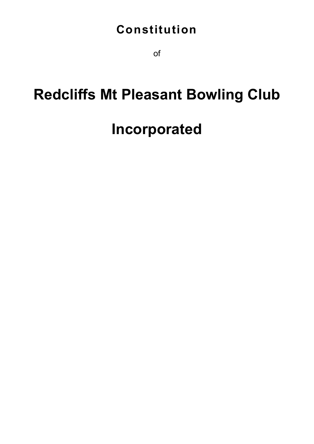of

# **Redcliffs Mt Pleasant Bowling Club**

# **Incorporated**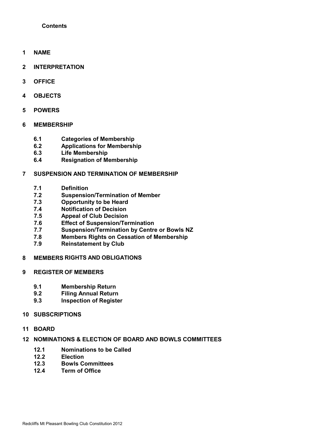#### **Contents**

- **1 NAME**
- **2 INTERPRETATION**
- **3 OFFICE**
- **4 OBJECTS**
- **5 POWERS**
- **6 MEMBERSHIP**
	- **6.1 Categories of Membership**
	- **6.2 Applications for Membership**
	- **6.3 Life Membership**
	- **6.4 Resignation of Membership**
- **7 SUSPENSION AND TERMINATION OF MEMBERSHIP**
	- **7.1 Definition**
	- **7.2 Suspension/Termination of Member**
	- **7.3 Opportunity to be Heard**
	- **7.4 Notification of Decision**
	- **7.5 Appeal of Club Decision**
	- **7.6 Effect of Suspension/Termination**
	- **7.7 Suspension/Termination by Centre or Bowls NZ**
	- **7.8 Members Rights on Cessation of Membership**
	- **7.9 Reinstatement by Club**
- **8 MEMBERS RIGHTS AND OBLIGATIONS**
- **9 REGISTER OF MEMBERS**
	- **9.1 Membership Return**
	- **9.2 Filing Annual Return**
	- **9.3 Inspection of Register**
- **10 SUBSCRIPTIONS**
- **11 BOARD**
- **12 NOMINATIONS & ELECTION OF BOARD AND BOWLS COMMITTEES**
	- **12.1 Nominations to be Called**
	- **12.2 Election**
	- **12.3 Bowls Committees**
	- **12.4 Term of Office**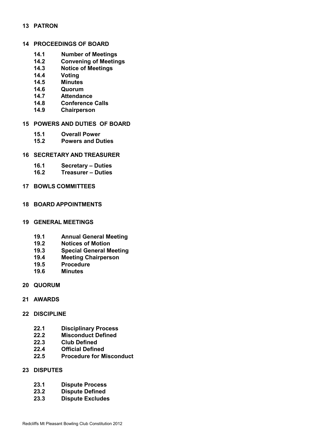#### **13 PATRON**

#### **14 PROCEEDINGS OF BOARD**

- **14.1 Number of Meetings**
- **14.2 Convening of Meetings**
- **14.3 Notice of Meetings**
- **14.4 Voting**
- **14.5 Minutes**
- **14.6 Quorum**
- **14.7 Attendance**
- **14.8 Conference Calls**
- **14.9 Chairperson**
- **15 POWERS AND DUTIES OF BOARD**
	- **15.1 Overall Power**
	- **15.2 Powers and Duties**
- **16 SECRETARY AND TREASURER**
	- **16.1 Secretary – Duties**
	- **16.2 Treasurer – Duties**
- **17 BOWLS COMMITTEES**
- **18 BOARD APPOINTMENTS**
- **19 GENERAL MEETINGS**
	- **19.1 Annual General Meeting**
	- **19.2 Notices of Motion**
	- **19.3 Special General Meeting**
	- **19.4 Meeting Chairperson**
	- **19.5 Procedure**
	- **19.6 Minutes**
- **20 QUORUM**
- **21 AWARDS**
- **22 DISCIPLINE**
	- **22.1 Disciplinary Process**
	- **22.2 Misconduct Defined**
	- **22.3 Club Defined**
	- **22.4 Official Defined**
	- **22.5 Procedure for Misconduct**
- **23 DISPUTES**
	- **23.1 Dispute Process**
	- **23.2 Dispute Defined**
	- **23.3 Dispute Excludes**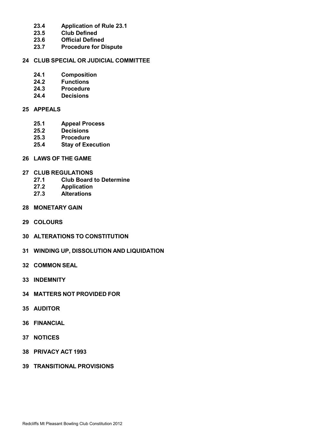- **23.4 Application of Rule 23.1**
- **23.5 Club Defined**
- 
- **23.6 Official Defined 23.7 Procedure for Dispute**

#### **24 CLUB SPECIAL OR JUDICIAL COMMITTEE**

- **24.1 Composition**
- **24.2 Functions**
- **24.3 Procedure**
- **24.4 Decisions**

#### **25 APPEALS**

- **25.1 Appeal Process**
- **25.2 Decisions**
- **25.3 Procedure**
- **25.4 Stay of Execution**
- **26 LAWS OF THE GAME**
- **27 CLUB REGULATIONS**
	- **27.1 Club Board to Determine**
	- **27.2 Application**
	- **27.3 Alterations**
- **28 MONETARY GAIN**
- **29 COLOURS**
- **30 ALTERATIONS TO CONSTITUTION**
- **31 WINDING UP, DISSOLUTION AND LIQUIDATION**
- **32 COMMON SEAL**
- **33 INDEMNITY**
- **34 MATTERS NOT PROVIDED FOR**
- **35 AUDITOR**
- **36 FINANCIAL**
- **37 NOTICES**
- **38 PRIVACY ACT 1993**
- **39 TRANSITIONAL PROVISIONS**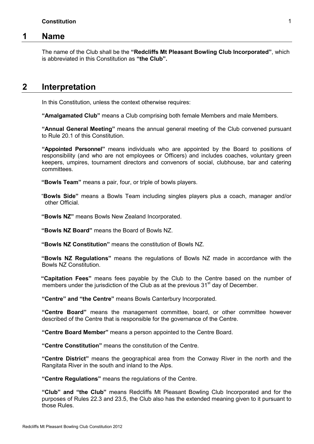### **1 Name**

The name of the Club shall be the **"Redcliffs Mt Pleasant Bowling Club Incorporated"**, which is abbreviated in this Constitution as **"the Club".**

## **2 Interpretation**

In this Constitution, unless the context otherwise requires:

**"Amalgamated Club"** means a Club comprising both female Members and male Members.

**"Annual General Meeting"** means the annual general meeting of the Club convened pursuant to Rule 20.1 of this Constitution.

**"Appointed Personnel"** means individuals who are appointed by the Board to positions of responsibility (and who are not employees or Officers) and includes coaches, voluntary green keepers, umpires, tournament directors and convenors of social, clubhouse, bar and catering committees.

**"Bowls Team"** means a pair, four, or triple of bowls players.

"**Bowls Side"** means a Bowls Team including singles players plus a coach, manager and/or other Official.

**"Bowls NZ"** means Bowls New Zealand Incorporated.

**"Bowls NZ Board"** means the Board of Bowls NZ.

**"Bowls NZ Constitution"** means the constitution of Bowls NZ.

**"Bowls NZ Regulations"** means the regulations of Bowls NZ made in accordance with the Bowls NZ Constitution.

**"Capitation Fees"** means fees payable by the Club to the Centre based on the number of members under the jurisdiction of the Club as at the previous  $31<sup>st</sup>$  day of December.

**"Centre" and "the Centre"** means Bowls Canterbury Incorporated.

**"Centre Board"** means the management committee, board, or other committee however described of the Centre that is responsible for the governance of the Centre.

**"Centre Board Member"** means a person appointed to the Centre Board.

**"Centre Constitution"** means the constitution of the Centre.

**"Centre District"** means the geographical area from the Conway River in the north and the Rangitata River in the south and inland to the Alps.

**"Centre Regulations"** means the regulations of the Centre.

**"Club" and "the Club"** means Redcliffs Mt Pleasant Bowling Club Incorporated and for the purposes of Rules 22.3 and 23.5, the Club also has the extended meaning given to it pursuant to those Rules.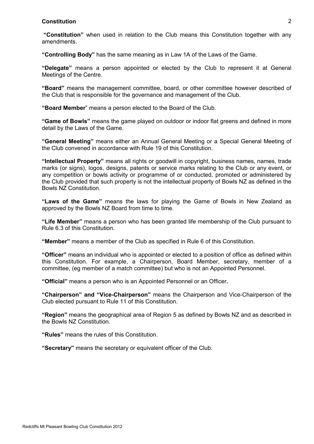**"Constitution"** when used in relation to the Club means this Constitution together with any amendments.

**"Controlling Body"** has the same meaning as in Law 1A of the Laws of the Game.

**"Delegate"** means a person appointed or elected by the Club to represent it at General Meetings of the Centre.

**"Board"** means the management committee, board, or other committee however described of the Club that is responsible for the governance and management of the Club.

**"Board Member**" means a person elected to the Board of the Club.

**"Game of Bowls"** means the game played on outdoor or indoor flat greens and defined in more detail by the Laws of the Game.

**"General Meeting"** means either an Annual General Meeting or a Special General Meeting of the Club convened in accordance with Rule 19 of this Constitution.

**"Intellectual Property"** means all rights or goodwill in copyright, business names, names, trade marks (or signs), logos, designs, patents or service marks relating to the Club or any event, or any competition or bowls activity or programme of or conducted, promoted or administered by the Club provided that such property is not the intellectual property of Bowls NZ as defined in the Bowls NZ Constitution.

**"Laws of the Game"** means the laws for playing the Game of Bowls in New Zealand as approved by the Bowls NZ Board from time to time.

**"Life Member"** means a person who has been granted life membership of the Club pursuant to Rule 6.3 of this Constitution.

**"Member"** means a member of the Club as specified in Rule 6 of this Constitution.

**"Officer"** means an individual who is appointed or elected to a position of office as defined within this Constitution. For example, a Chairperson, Board Member, secretary, member of a committee, (eg member of a match committee) but who is not an Appointed Personnel.

**"Official"** means a person who is an Appointed Personnel or an Officer**.**

**"Chairperson" and "Vice-Chairperson"** means the Chairperson and Vice-Chairperson of the Club elected pursuant to Rule 11 of this Constitution.

**"Region"** means the geographical area of Region 5 as defined by Bowls NZ and as described in the Bowls NZ Constitution.

**"Rules"** means the rules of this Constitution.

**"Secretary"** means the secretary or equivalent officer of the Club.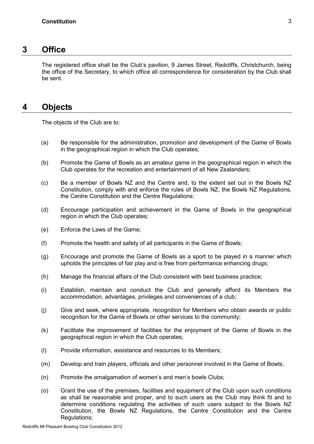## **3 Office**

The registered office shall be the Club's pavilion, 9 James Street, Redcliffs, Christchurch, being the office of the Secretary, to which office all correspondence for consideration by the Club shall be sent.

# **4 Objects**

The objects of the Club are to:

- (a) Be responsible for the administration, promotion and development of the Game of Bowls in the geographical region in which the Club operates;
- (b) Promote the Game of Bowls as an amateur game in the geographical region in which the Club operates for the recreation and entertainment of all New Zealanders;
- (c) Be a member of Bowls NZ and the Centre and, to the extent set out in the Bowls NZ Constitution, comply with and enforce the rules of Bowls NZ, the Bowls NZ Regulations, the Centre Constitution and the Centre Regulations;
- (d) Encourage participation and achievement in the Game of Bowls in the geographical region in which the Club operates;
- (e) Enforce the Laws of the Game;
- (f) Promote the health and safety of all participants in the Game of Bowls;
- (g) Encourage and promote the Game of Bowls as a sport to be played in a manner which upholds the principles of fair play and is free from performance enhancing drugs;
- (h) Manage the financial affairs of the Club consistent with best business practice;
- (i) Establish, maintain and conduct the Club and generally afford its Members the accommodation, advantages, privileges and conveniences of a club;
- (j) Give and seek, where appropriate, recognition for Members who obtain awards or public recognition for the Game of Bowls or other services to the community;
- (k) Facilitate the improvement of facilities for the enjoyment of the Game of Bowls in the geographical region in which the Club operates;
- (l) Provide information, assistance and resources to its Members;
- (m) Develop and train players, officials and other personnel involved in the Game of Bowls;
- (n) Promote the amalgamation of women's and men's bowls Clubs;
- (o) Grant the use of the premises, facilities and equipment of the Club upon such conditions as shall be reasonable and proper, and to such users as the Club may think fit and to determine conditions regulating the activities of such users subject to the Bowls NZ Constitution, the Bowls NZ Regulations, the Centre Constitution and the Centre Regulations;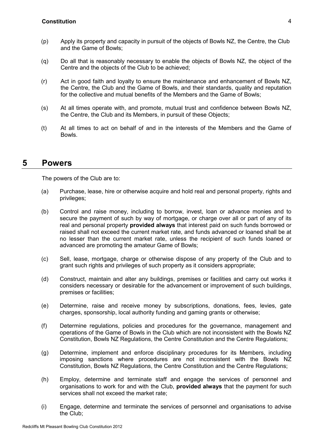- (p) Apply its property and capacity in pursuit of the objects of Bowls NZ, the Centre, the Club and the Game of Bowls;
- (q) Do all that is reasonably necessary to enable the objects of Bowls NZ, the object of the Centre and the objects of the Club to be achieved;
- (r) Act in good faith and loyalty to ensure the maintenance and enhancement of Bowls NZ, the Centre, the Club and the Game of Bowls, and their standards, quality and reputation for the collective and mutual benefits of the Members and the Game of Bowls;
- (s) At all times operate with, and promote, mutual trust and confidence between Bowls NZ, the Centre, the Club and its Members, in pursuit of these Objects;
- (t) At all times to act on behalf of and in the interests of the Members and the Game of Bowls.

## **5 Powers**

The powers of the Club are to:

- (a) Purchase, lease, hire or otherwise acquire and hold real and personal property, rights and privileges;
- (b) Control and raise money, including to borrow, invest, loan or advance monies and to secure the payment of such by way of mortgage, or charge over all or part of any of its real and personal property **provided always** that interest paid on such funds borrowed or raised shall not exceed the current market rate, and funds advanced or loaned shall be at no lesser than the current market rate, unless the recipient of such funds loaned or advanced are promoting the amateur Game of Bowls;
- (c) Sell, lease, mortgage, charge or otherwise dispose of any property of the Club and to grant such rights and privileges of such property as it considers appropriate;
- (d) Construct, maintain and alter any buildings, premises or facilities and carry out works it considers necessary or desirable for the advancement or improvement of such buildings, premises or facilities;
- (e) Determine, raise and receive money by subscriptions, donations, fees, levies, gate charges, sponsorship, local authority funding and gaming grants or otherwise;
- (f) Determine regulations, policies and procedures for the governance, management and operations of the Game of Bowls in the Club which are not inconsistent with the Bowls NZ Constitution, Bowls NZ Regulations, the Centre Constitution and the Centre Regulations;
- (g) Determine, implement and enforce disciplinary procedures for its Members, including imposing sanctions where procedures are not inconsistent with the Bowls NZ Constitution, Bowls NZ Regulations, the Centre Constitution and the Centre Regulations;
- (h) Employ, determine and terminate staff and engage the services of personnel and organisations to work for and with the Club, **provided always** that the payment for such services shall not exceed the market rate;
- (i) Engage, determine and terminate the services of personnel and organisations to advise the Club;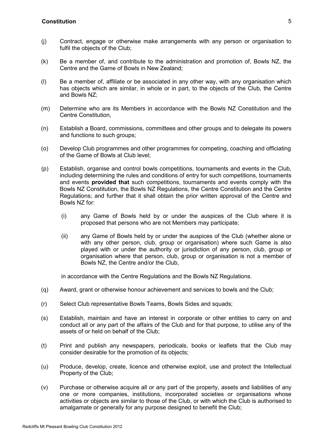- (j) Contract, engage or otherwise make arrangements with any person or organisation to fulfil the objects of the Club;
- (k) Be a member of, and contribute to the administration and promotion of, Bowls NZ, the Centre and the Game of Bowls in New Zealand;
- (l) Be a member of, affiliate or be associated in any other way, with any organisation which has objects which are similar, in whole or in part, to the objects of the Club, the Centre and Bowls NZ;
- (m) Determine who are its Members in accordance with the Bowls NZ Constitution and the Centre Constitution,
- (n) Establish a Board, commissions, committees and other groups and to delegate its powers and functions to such groups;
- (o) Develop Club programmes and other programmes for competing, coaching and officiating of the Game of Bowls at Club level;
- (p) Establish, organise and control bowls competitions, tournaments and events in the Club, including determining the rules and conditions of entry for such competitions, tournaments and events **provided that** such competitions, tournaments and events comply with the Bowls NZ Constitution, the Bowls NZ Regulations, the Centre Constitution and the Centre Regulations; and further that it shall obtain the prior written approval of the Centre and Bowls NZ for:
	- (i) any Game of Bowls held by or under the auspices of the Club where it is proposed that persons who are not Members may participate;
	- (ii) any Game of Bowls held by or under the auspices of the Club (whether alone or with any other person, club, group or organisation) where such Game is also played with or under the authority or jurisdiction of any person, club, group or organisation where that person, club, group or organisation is not a member of Bowls NZ, the Centre and/or the Club,

in accordance with the Centre Regulations and the Bowls NZ Regulations.

- (q) Award, grant or otherwise honour achievement and services to bowls and the Club;
- (r) Select Club representative Bowls Teams, Bowls Sides and squads;
- (s) Establish, maintain and have an interest in corporate or other entities to carry on and conduct all or any part of the affairs of the Club and for that purpose, to utilise any of the assets of or held on behalf of the Club;
- (t) Print and publish any newspapers, periodicals, books or leaflets that the Club may consider desirable for the promotion of its objects;
- (u) Produce, develop, create, licence and otherwise exploit, use and protect the Intellectual Property of the Club;
- (v) Purchase or otherwise acquire all or any part of the property, assets and liabilities of any one or more companies, institutions, incorporated societies or organisations whose activities or objects are similar to those of the Club, or with which the Club is authorised to amalgamate or generally for any purpose designed to benefit the Club;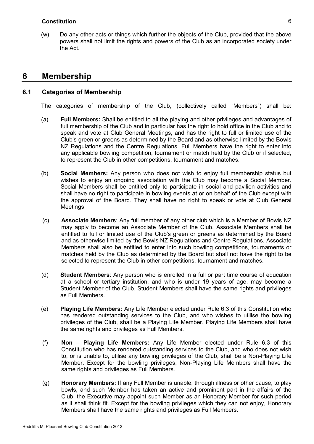(w) Do any other acts or things which further the objects of the Club, provided that the above powers shall not limit the rights and powers of the Club as an incorporated society under the Act.

# **6 Membership**

#### **6.1 Categories of Membership**

The categories of membership of the Club, (collectively called "Members") shall be:

- (a) **Full Members:** Shall be entitled to all the playing and other privileges and advantages of full membership of the Club and in particular has the right to hold office in the Club and to speak and vote at Club General Meetings, and has the right to full or limited use of the Club's green or greens as determined by the Board and as otherwise limited by the Bowls NZ Regulations and the Centre Regulations. Full Members have the right to enter into any applicable bowling competition, tournament or match held by the Club or if selected, to represent the Club in other competitions, tournament and matches.
- (b) **Social Members:** Any person who does not wish to enjoy full membership status but wishes to enjoy an ongoing association with the Club may become a Social Member. Social Members shall be entitled only to participate in social and pavilion activities and shall have no right to participate in bowling events at or on behalf of the Club except with the approval of the Board. They shall have no right to speak or vote at Club General Meetings.
- (c) **Associate Members**: Any full member of any other club which is a Member of Bowls NZ may apply to become an Associate Member of the Club. Associate Members shall be entitled to full or limited use of the Club's green or greens as determined by the Board and as otherwise limited by the Bowls NZ Regulations and Centre Regulations. Associate Members shall also be entitled to enter into such bowling competitions, tournaments or matches held by the Club as determined by the Board but shall not have the right to be selected to represent the Club in other competitions, tournament and matches.
- (d) **Student Members**: Any person who is enrolled in a full or part time course of education at a school or tertiary institution, and who is under 19 years of age, may become a Student Member of the Club. Student Members shall have the same rights and privileges as Full Members.
- (e) **Playing Life Members:** Any Life Member elected under Rule 6.3 of this Constitution who has rendered outstanding services to the Club, and who wishes to utilise the bowling privileges of the Club, shall be a Playing Life Member. Playing Life Members shall have the same rights and privileges as Full Members.
- (f) **Non – Playing Life Members:** Any Life Member elected under Rule 6.3 of this Constitution who has rendered outstanding services to the Club, and who does not wish to, or is unable to, utilise any bowling privileges of the Club, shall be a Non-Playing Life Member. Except for the bowling privileges, Non-Playing Life Members shall have the same rights and privileges as Full Members.
- (g) **Honorary Members:** If any Full Member is unable, through illness or other cause, to play bowls, and such Member has taken an active and prominent part in the affairs of the Club, the Executive may appoint such Member as an Honorary Member for such period as it shall think fit. Except for the bowling privileges which they can not enjoy, Honorary Members shall have the same rights and privileges as Full Members.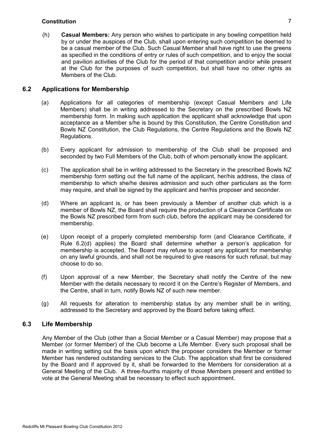(h) **Casual Members:** Any person who wishes to participate in any bowling competition held by or under the auspices of the Club, shall upon entering such competition be deemed to be a casual member of the Club. Such Casual Member shall have right to use the greens as specified in the conditions of entry or rules of such competition, and to enjoy the social and pavilion activities of the Club for the period of that competition and/or while present at the Club for the purposes of such competition, but shall have no other rights as Members of the Club.

#### **6.2 Applications for Membership**

- (a) Applications for all categories of membership (except Casual Members and Life Members) shall be in writing addressed to the Secretary on the prescribed Bowls NZ membership form. In making such application the applicant shall acknowledge that upon acceptance as a Member s/he is bound by this Constitution, the Centre Constitution and Bowls NZ Constitution, the Club Regulations, the Centre Regulations and the Bowls NZ Regulations.
- (b) Every applicant for admission to membership of the Club shall be proposed and seconded by two Full Members of the Club, both of whom personally know the applicant.
- (c) The application shall be in writing addressed to the Secretary in the prescribed Bowls NZ membership form setting out the full name of the applicant, her/his address, the class of membership to which she/he desires admission and such other particulars as the form may require, and shall be signed by the applicant and her/his proposer and seconder.
- (d) Where an applicant is, or has been previously a Member of another club which is a member of Bowls NZ, the Board shall require the production of a Clearance Certificate on the Bowls NZ prescribed form from such club, before the applicant may be considered for membership.
- (e) Upon receipt of a properly completed membership form (and Clearance Certificate, if Rule 6.2(d) applies) the Board shall determine whether a person's application for membership is accepted. The Board may refuse to accept any applicant for membership on any lawful grounds, and shall not be required to give reasons for such refusal, but may choose to do so.
- (f) Upon approval of a new Member, the Secretary shall notify the Centre of the new Member with the details necessary to record it on the Centre's Register of Members, and the Centre, shall in turn, notify Bowls NZ of such new member.
- (g) All requests for alteration to membership status by any member shall be in writing, addressed to the Secretary and approved by the Board before taking effect.

#### **6.3 Life Membership**

Any Member of the Club (other than a Social Member or a Casual Member) may propose that a Member (or former Member) of the Club become a Life Member. Every such proposal shall be made in writing setting out the basis upon which the proposer considers the Member or former Member has rendered outstanding services to the Club. The application shall first be considered by the Board and if approved by it, shall be forwarded to the Members for consideration at a General Meeting of the Club. A three-fourths majority of those Members present and entitled to vote at the General Meeting shall be necessary to effect such appointment.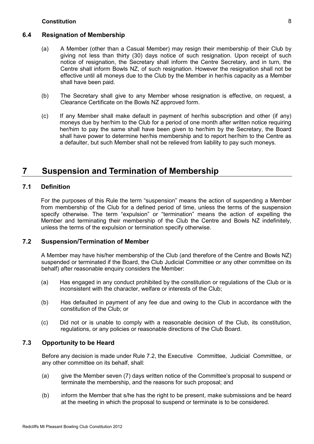#### **6.4 Resignation of Membership**

- (a) A Member (other than a Casual Member) may resign their membership of their Club by giving not less than thirty (30) days notice of such resignation. Upon receipt of such notice of resignation, the Secretary shall inform the Centre Secretary, and in turn, the Centre shall inform Bowls NZ, of such resignation. However the resignation shall not be effective until all moneys due to the Club by the Member in her/his capacity as a Member shall have been paid.
- (b) The Secretary shall give to any Member whose resignation is effective, on request, a Clearance Certificate on the Bowls NZ approved form.
- (c) If any Member shall make default in payment of her/his subscription and other (if any) moneys due by her/him to the Club for a period of one month after written notice requiring her/him to pay the same shall have been given to her/him by the Secretary, the Board shall have power to determine her/his membership and to report her/him to the Centre as a defaulter, but such Member shall not be relieved from liability to pay such moneys.

## **7 Suspension and Termination of Membership**

#### **7.1 Definition**

For the purposes of this Rule the term "suspension" means the action of suspending a Member from membership of the Club for a defined period of time, unless the terms of the suspension specify otherwise. The term "expulsion" or "termination" means the action of expelling the Member and terminating their membership of the Club the Centre and Bowls NZ indefinitely, unless the terms of the expulsion or termination specify otherwise.

#### **7.2 Suspension/Termination of Member**

A Member may have his/her membership of the Club (and therefore of the Centre and Bowls NZ) suspended or terminated if the Board, the Club Judicial Committee or any other committee on its behalf) after reasonable enquiry considers the Member:

- (a) Has engaged in any conduct prohibited by the constitution or regulations of the Club or is inconsistent with the character, welfare or interests of the Club;
- (b) Has defaulted in payment of any fee due and owing to the Club in accordance with the constitution of the Club; or
- (c) Did not or is unable to comply with a reasonable decision of the Club, its constitution, regulations, or any policies or reasonable directions of the Club Board.

#### **7.3 Opportunity to be Heard**

Before any decision is made under Rule 7.2, the Executive Committee, Judicial Committee, or any other committee on its behalf, shall:

- (a) give the Member seven (7) days written notice of the Committee's proposal to suspend or terminate the membership, and the reasons for such proposal; and
- (b) inform the Member that s/he has the right to be present, make submissions and be heard at the meeting in which the proposal to suspend or terminate is to be considered.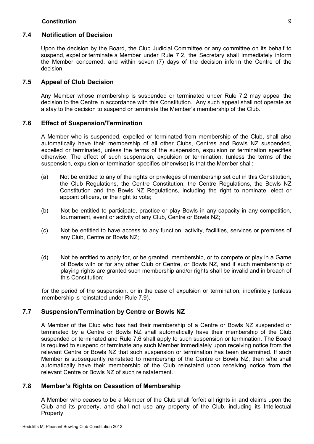#### **7.4 Notification of Decision**

Upon the decision by the Board, the Club Judicial Committee or any committee on its behalf to suspend, expel or terminate a Member under Rule 7.2, the Secretary shall immediately inform the Member concerned, and within seven (7) days of the decision inform the Centre of the decision.

#### **7.5 Appeal of Club Decision**

Any Member whose membership is suspended or terminated under Rule 7.2 may appeal the decision to the Centre in accordance with this Constitution. Any such appeal shall not operate as a stay to the decision to suspend or terminate the Member's membership of the Club.

#### **7.6 Effect of Suspension/Termination**

A Member who is suspended, expelled or terminated from membership of the Club, shall also automatically have their membership of all other Clubs, Centres and Bowls NZ suspended, expelled or terminated, unless the terms of the suspension, expulsion or termination specifies otherwise. The effect of such suspension, expulsion or termination, (unless the terms of the suspension, expulsion or termination specifies otherwise) is that the Member shall:

- (a) Not be entitled to any of the rights or privileges of membership set out in this Constitution, the Club Regulations, the Centre Constitution, the Centre Regulations, the Bowls NZ Constitution and the Bowls NZ Regulations, including the right to nominate, elect or appoint officers, or the right to vote;
- (b) Not be entitled to participate, practice or play Bowls in any capacity in any competition, tournament, event or activity of any Club, Centre or Bowls NZ;
- (c) Not be entitled to have access to any function, activity, facilities, services or premises of any Club, Centre or Bowls NZ;
- (d) Not be entitled to apply for, or be granted, membership, or to compete or play in a Game of Bowls with or for any other Club or Centre, or Bowls NZ, and if such membership or playing rights are granted such membership and/or rights shall be invalid and in breach of this Constitution;

for the period of the suspension, or in the case of expulsion or termination, indefinitely (unless membership is reinstated under Rule 7.9).

#### **7.7 Suspension/Termination by Centre or Bowls NZ**

A Member of the Club who has had their membership of a Centre or Bowls NZ suspended or terminated by a Centre or Bowls NZ shall automatically have their membership of the Club suspended or terminated and Rule 7.6 shall apply to such suspension or termination. The Board is required to suspend or terminate any such Member immediately upon receiving notice from the relevant Centre or Bowls NZ that such suspension or termination has been determined. If such Member is subsequently reinstated to membership of the Centre or Bowls NZ, then s/he shall automatically have their membership of the Club reinstated upon receiving notice from the relevant Centre or Bowls NZ of such reinstatement.

#### **7.8 Member's Rights on Cessation of Membership**

A Member who ceases to be a Member of the Club shall forfeit all rights in and claims upon the Club and its property, and shall not use any property of the Club, including its Intellectual Property.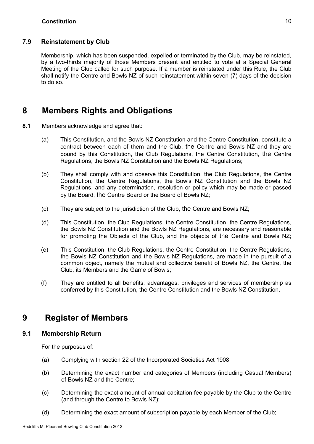#### **7.9 Reinstatement by Club**

Membership, which has been suspended, expelled or terminated by the Club, may be reinstated, by a two-thirds majority of those Members present and entitled to vote at a Special General Meeting of the Club called for such purpose. If a member is reinstated under this Rule, the Club shall notify the Centre and Bowls NZ of such reinstatement within seven (7) days of the decision to do so.

# **8 Members Rights and Obligations**

- **8.1** Members acknowledge and agree that:
	- (a) This Constitution, and the Bowls NZ Constitution and the Centre Constitution, constitute a contract between each of them and the Club, the Centre and Bowls NZ and they are bound by this Constitution, the Club Regulations, the Centre Constitution, the Centre Regulations, the Bowls NZ Constitution and the Bowls NZ Regulations;
	- (b) They shall comply with and observe this Constitution, the Club Regulations, the Centre Constitution, the Centre Regulations, the Bowls NZ Constitution and the Bowls NZ Regulations, and any determination, resolution or policy which may be made or passed by the Board, the Centre Board or the Board of Bowls NZ;
	- (c) They are subject to the jurisdiction of the Club, the Centre and Bowls NZ;
	- (d) This Constitution, the Club Regulations, the Centre Constitution, the Centre Regulations, the Bowls NZ Constitution and the Bowls NZ Regulations, are necessary and reasonable for promoting the Objects of the Club, and the objects of the Centre and Bowls NZ;
	- (e) This Constitution, the Club Regulations, the Centre Constitution, the Centre Regulations, the Bowls NZ Constitution and the Bowls NZ Regulations, are made in the pursuit of a common object, namely the mutual and collective benefit of Bowls NZ, the Centre, the Club, its Members and the Game of Bowls;
	- (f) They are entitled to all benefits, advantages, privileges and services of membership as conferred by this Constitution, the Centre Constitution and the Bowls NZ Constitution.

# **9 Register of Members**

#### **9.1 Membership Return**

For the purposes of:

- (a) Complying with section 22 of the Incorporated Societies Act 1908;
- (b) Determining the exact number and categories of Members (including Casual Members) of Bowls NZ and the Centre;
- (c) Determining the exact amount of annual capitation fee payable by the Club to the Centre (and through the Centre to Bowls NZ);
- (d) Determining the exact amount of subscription payable by each Member of the Club;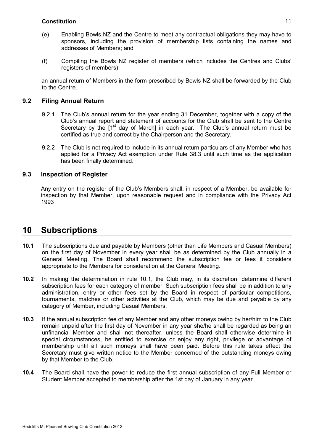- (e) Enabling Bowls NZ and the Centre to meet any contractual obligations they may have to sponsors, including the provision of membership lists containing the names and addresses of Members; and
- (f) Compiling the Bowls NZ register of members (which includes the Centres and Clubs' registers of members),

an annual return of Members in the form prescribed by Bowls NZ shall be forwarded by the Club to the Centre.

#### **9.2 Filing Annual Return**

- 9.2.1 The Club's annual return for the year ending 31 December, together with a copy of the Club's annual report and statement of accounts for the Club shall be sent to the Centre Secretary by the  $[1<sup>st</sup>$  day of March] in each year. The Club's annual return must be certified as true and correct by the Chairperson and the Secretary.
- 9.2.2 The Club is not required to include in its annual return particulars of any Member who has applied for a Privacy Act exemption under Rule 38.3 until such time as the application has been finally determined.

#### **9.3 Inspection of Register**

Any entry on the register of the Club's Members shall, in respect of a Member, be available for inspection by that Member, upon reasonable request and in compliance with the Privacy Act 1993

## **10 Subscriptions**

- **10.1** The subscriptions due and payable by Members (other than Life Members and Casual Members) on the first day of November in every year shall be as determined by the Club annually in a General Meeting. The Board shall recommend the subscription fee or fees it considers appropriate to the Members for consideration at the General Meeting.
- **10.2** In making the determination in rule 10.1, the Club may, in its discretion, determine different subscription fees for each category of member. Such subscription fees shall be in addition to any administration, entry or other fees set by the Board in respect of particular competitions, tournaments, matches or other activities at the Club, which may be due and payable by any category of Member, including Casual Members.
- **10.3** If the annual subscription fee of any Member and any other moneys owing by her/him to the Club remain unpaid after the first day of November in any year she/he shall be regarded as being an unfinancial Member and shall not thereafter, unless the Board shall otherwise determine in special circumstances, be entitled to exercise or enjoy any right, privilege or advantage of membership until all such moneys shall have been paid. Before this rule takes effect the Secretary must give written notice to the Member concerned of the outstanding moneys owing by that Member to the Club.
- **10.4** The Board shall have the power to reduce the first annual subscription of any Full Member or Student Member accepted to membership after the 1st day of January in any year.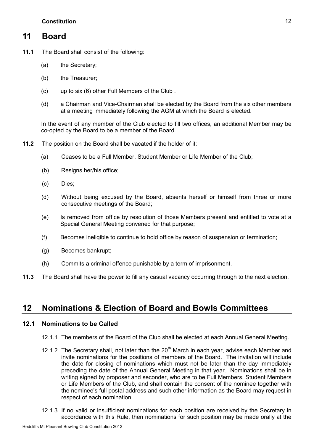## **11 Board**

- **11.1** The Board shall consist of the following:
	- (a) the Secretary;
	- (b) the Treasurer;
	- (c) up to six (6) other Full Members of the Club .
	- (d) a Chairman and Vice-Chairman shall be elected by the Board from the six other members at a meeting immediately following the AGM at which the Board is elected.

In the event of any member of the Club elected to fill two offices, an additional Member may be co-opted by the Board to be a member of the Board.

- **11.2** The position on the Board shall be vacated if the holder of it:
	- (a) Ceases to be a Full Member, Student Member or Life Member of the Club;
	- (b) Resigns her/his office;
	- (c) Dies;
	- (d) Without being excused by the Board, absents herself or himself from three or more consecutive meetings of the Board;
	- (e) Is removed from office by resolution of those Members present and entitled to vote at a Special General Meeting convened for that purpose;
	- (f) Becomes ineligible to continue to hold office by reason of suspension or termination;
	- (g) Becomes bankrupt;
	- (h) Commits a criminal offence punishable by a term of imprisonment.
- **11.3** The Board shall have the power to fill any casual vacancy occurring through to the next election.

## **12 Nominations & Election of Board and Bowls Committees**

#### **12.1 Nominations to be Called**

- 12.1.1 The members of the Board of the Club shall be elected at each Annual General Meeting.
- 12.1.2 The Secretary shall, not later than the  $20<sup>th</sup>$  March in each year, advise each Member and invite nominations for the positions of members of the Board. The invitation will include the date for closing of nominations which must not be later than the day immediately preceding the date of the Annual General Meeting in that year. Nominations shall be in writing signed by proposer and seconder, who are to be Full Members, Student Members or Life Members of the Club, and shall contain the consent of the nominee together with the nominee's full postal address and such other information as the Board may request in respect of each nomination.
- 12.1.3 If no valid or insufficient nominations for each position are received by the Secretary in accordance with this Rule, then nominations for such position may be made orally at the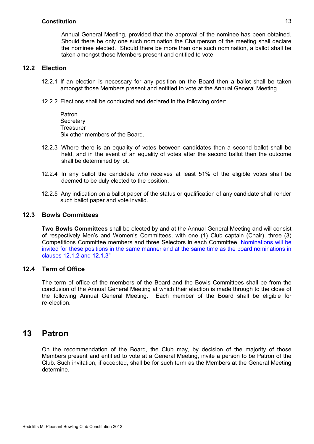Annual General Meeting, provided that the approval of the nominee has been obtained. Should there be only one such nomination the Chairperson of the meeting shall declare the nominee elected. Should there be more than one such nomination, a ballot shall be taken amongst those Members present and entitled to vote.

#### **12.2 Election**

- 12.2.1 If an election is necessary for any position on the Board then a ballot shall be taken amongst those Members present and entitled to vote at the Annual General Meeting.
- 12.2.2 Elections shall be conducted and declared in the following order:

Patron **Secretary Treasurer** Six other members of the Board.

- 12.2.3 Where there is an equality of votes between candidates then a second ballot shall be held, and in the event of an equality of votes after the second ballot then the outcome shall be determined by lot.
- 12.2.4 In any ballot the candidate who receives at least 51% of the eligible votes shall be deemed to be duly elected to the position.
- 12.2.5 Any indication on a ballot paper of the status or qualification of any candidate shall render such ballot paper and vote invalid.

#### **12.3 Bowls Committees**

**Two Bowls Committees** shall be elected by and at the Annual General Meeting and will consist of respectively Men's and Women's Committees, with one (1) Club captain (Chair), three (3) Competitions Committee members and three Selectors in each Committee. Nominations will be invited for these positions in the same manner and at the same time as the board nominations in clauses 12.1.2 and 12.1.3"

#### **12.4 Term of Office**

The term of office of the members of the Board and the Bowls Committees shall be from the conclusion of the Annual General Meeting at which their election is made through to the close of the following Annual General Meeting. Each member of the Board shall be eligible for re-election.

## **13 Patron**

On the recommendation of the Board, the Club may, by decision of the majority of those Members present and entitled to vote at a General Meeting, invite a person to be Patron of the Club. Such invitation, if accepted, shall be for such term as the Members at the General Meeting determine.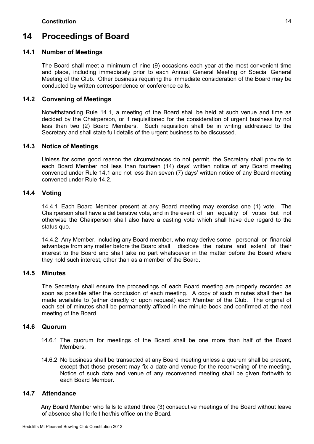# **14 Proceedings of Board**

#### **14.1 Number of Meetings**

The Board shall meet a minimum of nine (9) occasions each year at the most convenient time and place, including immediately prior to each Annual General Meeting or Special General Meeting of the Club. Other business requiring the immediate consideration of the Board may be conducted by written correspondence or conference calls.

#### **14.2 Convening of Meetings**

Notwithstanding Rule 14.1, a meeting of the Board shall be held at such venue and time as decided by the Chairperson, or if requisitioned for the consideration of urgent business by not less than two (2) Board Members. Such requisition shall be in writing addressed to the Secretary and shall state full details of the urgent business to be discussed.

#### **14.3 Notice of Meetings**

Unless for some good reason the circumstances do not permit, the Secretary shall provide to each Board Member not less than fourteen (14) days' written notice of any Board meeting convened under Rule 14.1 and not less than seven (7) days' written notice of any Board meeting convened under Rule 14.2.

#### **14.4 Voting**

14.4.1 Each Board Member present at any Board meeting may exercise one (1) vote. The Chairperson shall have a deliberative vote, and in the event of an equality of votes but not otherwise the Chairperson shall also have a casting vote which shall have due regard to the status quo.

14.4.2 Any Member, including any Board member, who may derive some personal or financial advantage from any matter before the Board shall disclose the nature and extent of their interest to the Board and shall take no part whatsoever in the matter before the Board where they hold such interest, other than as a member of the Board.

#### **14.5 Minutes**

The Secretary shall ensure the proceedings of each Board meeting are properly recorded as soon as possible after the conclusion of each meeting. A copy of such minutes shall then be made available to (either directly or upon request) each Member of the Club. The original of each set of minutes shall be permanently affixed in the minute book and confirmed at the next meeting of the Board.

#### **14.6 Quorum**

- 14.6.1 The quorum for meetings of the Board shall be one more than half of the Board Members.
- 14.6.2 No business shall be transacted at any Board meeting unless a quorum shall be present, except that those present may fix a date and venue for the reconvening of the meeting. Notice of such date and venue of any reconvened meeting shall be given forthwith to each Board Member.

#### **14.7 Attendance**

Any Board Member who fails to attend three (3) consecutive meetings of the Board without leave of absence shall forfeit her/his office on the Board.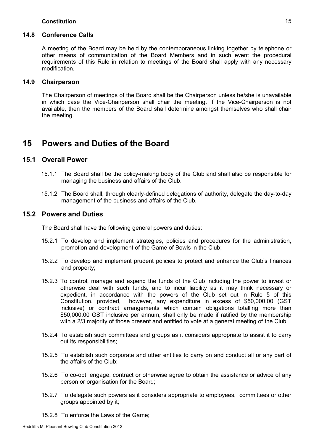#### **14.8 Conference Calls**

A meeting of the Board may be held by the contemporaneous linking together by telephone or other means of communication of the Board Members and in such event the procedural requirements of this Rule in relation to meetings of the Board shall apply with any necessary modification.

#### **14.9 Chairperson**

The Chairperson of meetings of the Board shall be the Chairperson unless he/she is unavailable in which case the Vice-Chairperson shall chair the meeting. If the Vice-Chairperson is not available, then the members of the Board shall determine amongst themselves who shall chair the meeting.

## **15 Powers and Duties of the Board**

#### **15.1 Overall Power**

- 15.1.1 The Board shall be the policy-making body of the Club and shall also be responsible for managing the business and affairs of the Club.
- 15.1.2 The Board shall, through clearly-defined delegations of authority, delegate the day-to-day management of the business and affairs of the Club.

#### **15.2 Powers and Duties**

The Board shall have the following general powers and duties:

- 15.2.1 To develop and implement strategies, policies and procedures for the administration, promotion and development of the Game of Bowls in the Club;
- 15.2.2 To develop and implement prudent policies to protect and enhance the Club's finances and property;
- 15.2.3 To control, manage and expend the funds of the Club including the power to invest or otherwise deal with such funds, and to incur liability as it may think necessary or expedient, in accordance with the powers of the Club set out in Rule 5 of this Constitution, provided, however, any expenditure in excess of \$50,000.00 (GST inclusive) or contract arrangements which contain obligations totalling more than \$50,000.00 GST inclusive per annum, shall only be made if ratified by the membership with a 2/3 majority of those present and entitled to vote at a general meeting of the Club.
- 15.2.4 To establish such committees and groups as it considers appropriate to assist it to carry out its responsibilities;
- 15.2.5 To establish such corporate and other entities to carry on and conduct all or any part of the affairs of the Club;
- 15.2.6 To co-opt, engage, contract or otherwise agree to obtain the assistance or advice of any person or organisation for the Board;
- 15.2.7 To delegate such powers as it considers appropriate to employees, committees or other groups appointed by it;
- 15.2.8 To enforce the Laws of the Game;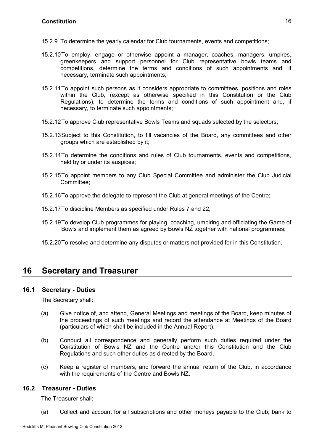- 15.2.9 To determine the yearly calendar for Club tournaments, events and competitions;
- 15.2.10To employ, engage or otherwise appoint a manager, coaches, managers, umpires, greenkeepers and support personnel for Club representative bowls teams and competitions, determine the terms and conditions of such appointments and, if necessary, terminate such appointments;
- 15.2.11To appoint such persons as it considers appropriate to committees, positions and roles within the Club, (except as otherwise specified in this Constitution or the Club Regulations), to determine the terms and conditions of such appointment and, if necessary, to terminate such appointments;
- 15.2.12To approve Club representative Bowls Teams and squads selected by the selectors;
- 15.2.13Subject to this Constitution, to fill vacancies of the Board, any committees and other groups which are established by it;
- 15.2.14To determine the conditions and rules of Club tournaments, events and competitions, held by or under its auspices;
- 15.2.15To appoint members to any Club Special Committee and administer the Club Judicial Committee;
- 15.2.16To approve the delegate to represent the Club at general meetings of the Centre;
- 15.2.17To discipline Members as specified under Rules 7 and 22;
- 15.2.19To develop Club programmes for playing, coaching, umpiring and officiating the Game of Bowls and implement them as agreed by Bowls NZ together with national programmes;
- 15.2.20To resolve and determine any disputes or matters not provided for in this Constitution.

## **16 Secretary and Treasurer**

#### **16.1 Secretary - Duties**

The Secretary shall:

- (a) Give notice of, and attend, General Meetings and meetings of the Board, keep minutes of the proceedings of such meetings and record the attendance at Meetings of the Board (particulars of which shall be included in the Annual Report).
- (b) Conduct all correspondence and generally perform such duties required under the Constitution of Bowls NZ and the Centre and/or this Constitution and the Club Regulations and such other duties as directed by the Board.
- (c) Keep a register of members, and forward the annual return of the Club, in accordance with the requirements of the Centre and Bowls NZ.

#### **16.2 Treasurer - Duties**

The Treasurer shall:

(a) Collect and account for all subscriptions and other moneys payable to the Club, bank to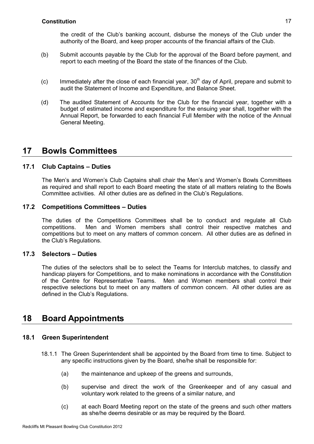the credit of the Club's banking account, disburse the moneys of the Club under the authority of the Board, and keep proper accounts of the financial affairs of the Club.

- (b) Submit accounts payable by the Club for the approval of the Board before payment, and report to each meeting of the Board the state of the finances of the Club.
- (c) Immediately after the close of each financial year,  $30<sup>th</sup>$  day of April, prepare and submit to audit the Statement of Income and Expenditure, and Balance Sheet.
- (d) The audited Statement of Accounts for the Club for the financial year, together with a budget of estimated income and expenditure for the ensuing year shall, together with the Annual Report, be forwarded to each financial Full Member with the notice of the Annual General Meeting.

# **17 Bowls Committees**

#### **17.1 Club Captains – Duties**

The Men's and Women's Club Captains shall chair the Men's and Women's Bowls Committees as required and shall report to each Board meeting the state of all matters relating to the Bowls Committee activities. All other duties are as defined in the Club's Regulations.

#### **17.2 Competitions Committees – Duties**

The duties of the Competitions Committees shall be to conduct and regulate all Club competitions. Men and Women members shall control their respective matches and competitions but to meet on any matters of common concern. All other duties are as defined in the Club's Regulations.

#### **17.3 Selectors – Duties**

The duties of the selectors shall be to select the Teams for Interclub matches, to classify and handicap players for Competitions, and to make nominations in accordance with the Constitution of the Centre for Representative Teams. Men and Women members shall control their respective selections but to meet on any matters of common concern. All other duties are as defined in the Club's Regulations.

## **18 Board Appointments**

#### **18.1 Green Superintendent**

- 18.1.1 The Green Superintendent shall be appointed by the Board from time to time. Subject to any specific instructions given by the Board, she/he shall be responsible for:
	- (a) the maintenance and upkeep of the greens and surrounds,
	- (b) supervise and direct the work of the Greenkeeper and of any casual and voluntary work related to the greens of a similar nature, and
	- (c) at each Board Meeting report on the state of the greens and such other matters as she/he deems desirable or as may be required by the Board.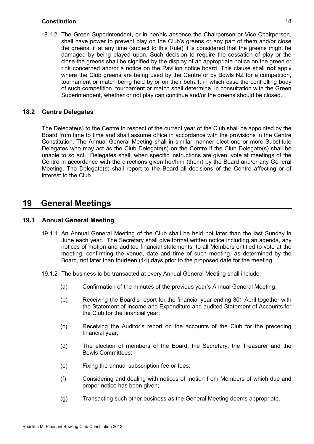18.1.2 The Green Superintendent, or in her/his absence the Chairperson or Vice-Chairperson, shall have power to prevent play on the Club's greens or any part of them and/or close the greens, if at any time (subject to this Rule) it is considered that the greens might be damaged by being played upon. Such decision to require the cessation of play or the close the greens shall be signified by the display of an appropriate notice on the green or rink concerned and/or a notice on the Pavilion notice board. This clause shall **not** apply where the Club greens are being used by the Centre or by Bowls NZ for a competition, tournament or match being held by or on their behalf, in which case the controlling body of such competition, tournament or match shall determine, in consultation with the Green Superintendent, whether or not play can continue and/or the greens should be closed.

#### **18.2 Centre Delegates**

The Delegate(s) to the Centre in respect of the current year of the Club shall be appointed by the Board from time to time and shall assume office in accordance with the provisions in the Centre Constitution. The Annual General Meeting shall in similar manner elect one or more Substitute Delegates who may act as the Club Delegate(s) on the Centre if the Club Delegate(s) shall be unable to so act. Delegates shall, when specific instructions are given, vote at meetings of the Centre in accordance with the directions given her/him (them) by the Board and/or any General Meeting. The Delegate(s) shall report to the Board all decisions of the Centre affecting or of interest to the Club.

## **19 General Meetings**

#### **19.1 Annual General Meeting**

- 19.1.1 An Annual General Meeting of the Club shall be held not later than the last Sunday in June each year. The Secretary shall give formal written notice including an agenda, any notices of motion and audited financial statements, to all Members entitled to vote at the meeting, confirming the venue, date and time of such meeting, as determined by the Board, not later than fourteen (14) days prior to the proposed date for the meeting.
- 19.1.2 The business to be transacted at every Annual General Meeting shall include:
	- (a) Confirmation of the minutes of the previous year's Annual General Meeting;
	- (b) Receiving the Board's report for the financial year ending  $30<sup>th</sup>$  April together with the Statement of Income and Expenditure and audited Statement of Accounts for the Club for the financial year;
	- (c) Receiving the Auditor's report on the accounts of the Club for the preceding financial year;
	- (d) The election of members of the Board, the Secretary, the Treasurer and the Bowls Committees;
	- (e) Fixing the annual subscription fee or fees;
	- (f) Considering and dealing with notices of motion from Members of which due and proper notice has been given;
	- (g) Transacting such other business as the General Meeting deems appropriate.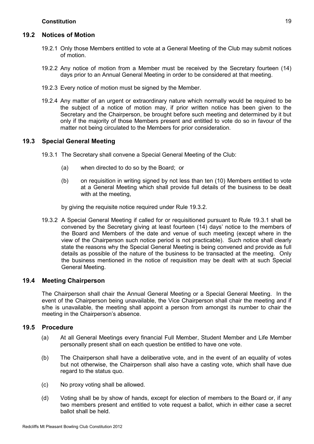#### **19.2 Notices of Motion**

- 19.2.1 Only those Members entitled to vote at a General Meeting of the Club may submit notices of motion.
- 19.2.2 Any notice of motion from a Member must be received by the Secretary fourteen (14) days prior to an Annual General Meeting in order to be considered at that meeting.
- 19.2.3 Every notice of motion must be signed by the Member.
- 19.2.4 Any matter of an urgent or extraordinary nature which normally would be required to be the subject of a notice of motion may, if prior written notice has been given to the Secretary and the Chairperson, be brought before such meeting and determined by it but only if the majority of those Members present and entitled to vote do so in favour of the matter not being circulated to the Members for prior consideration.

#### **19.3 Special General Meeting**

- 19.3.1 The Secretary shall convene a Special General Meeting of the Club:
	- (a) when directed to do so by the Board; or
	- (b) on requisition in writing signed by not less than ten (10) Members entitled to vote at a General Meeting which shall provide full details of the business to be dealt with at the meeting,

by giving the requisite notice required under Rule 19.3.2.

19.3.2 A Special General Meeting if called for or requisitioned pursuant to Rule 19.3.1 shall be convened by the Secretary giving at least fourteen (14) days' notice to the members of the Board and Members of the date and venue of such meeting (except where in the view of the Chairperson such notice period is not practicable). Such notice shall clearly state the reasons why the Special General Meeting is being convened and provide as full details as possible of the nature of the business to be transacted at the meeting. Only the business mentioned in the notice of requisition may be dealt with at such Special General Meeting.

#### **19.4 Meeting Chairperson**

The Chairperson shall chair the Annual General Meeting or a Special General Meeting. In the event of the Chairperson being unavailable, the Vice Chairperson shall chair the meeting and if s/he is unavailable, the meeting shall appoint a person from amongst its number to chair the meeting in the Chairperson's absence.

#### **19.5 Procedure**

- (a) At all General Meetings every financial Full Member, Student Member and Life Member personally present shall on each question be entitled to have one vote.
- (b) The Chairperson shall have a deliberative vote, and in the event of an equality of votes but not otherwise, the Chairperson shall also have a casting vote, which shall have due regard to the status quo.
- (c) No proxy voting shall be allowed.
- (d) Voting shall be by show of hands, except for election of members to the Board or, if any two members present and entitled to vote request a ballot, which in either case a secret ballot shall be held.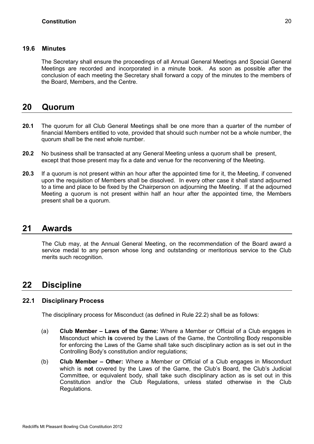#### **19.6 Minutes**

The Secretary shall ensure the proceedings of all Annual General Meetings and Special General Meetings are recorded and incorporated in a minute book. As soon as possible after the conclusion of each meeting the Secretary shall forward a copy of the minutes to the members of the Board, Members, and the Centre.

## **20 Quorum**

- **20.1** The quorum for all Club General Meetings shall be one more than a quarter of the number of financial Members entitled to vote, provided that should such number not be a whole number, the quorum shall be the next whole number.
- **20.2** No business shall be transacted at any General Meeting unless a quorum shall be present, except that those present may fix a date and venue for the reconvening of the Meeting.
- **20.3** If a quorum is not present within an hour after the appointed time for it, the Meeting, if convened upon the requisition of Members shall be dissolved. In every other case it shall stand adjourned to a time and place to be fixed by the Chairperson on adjourning the Meeting. If at the adjourned Meeting a quorum is not present within half an hour after the appointed time, the Members present shall be a quorum.

## **21 Awards**

The Club may, at the Annual General Meeting, on the recommendation of the Board award a service medal to any person whose long and outstanding or meritorious service to the Club merits such recognition.

## **22 Discipline**

#### **22.1 Disciplinary Process**

The disciplinary process for Misconduct (as defined in Rule 22.2) shall be as follows:

- (a) **Club Member – Laws of the Game:** Where a Member or Official of a Club engages in Misconduct which **is** covered by the Laws of the Game, the Controlling Body responsible for enforcing the Laws of the Game shall take such disciplinary action as is set out in the Controlling Body's constitution and/or regulations;
- (b) **Club Member – Other:** Where a Member or Official of a Club engages in Misconduct which is **not** covered by the Laws of the Game, the Club's Board, the Club's Judicial Committee, or equivalent body, shall take such disciplinary action as is set out in this Constitution and/or the Club Regulations, unless stated otherwise in the Club Regulations.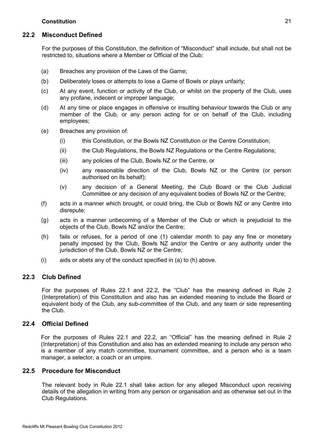#### **22.2 Misconduct Defined**

For the purposes of this Constitution, the definition of "Misconduct" shall include, but shall not be restricted to, situations where a Member or Official of the Club:

- (a) Breaches any provision of the Laws of the Game;
- (b) Deliberately loses or attempts to lose a Game of Bowls or plays unfairly;
- (c) At any event, function or activity of the Club, or whilst on the property of the Club, uses any profane, indecent or improper language;
- (d) At any time or place engages in offensive or insulting behaviour towards the Club or any member of the Club, or any person acting for or on behalf of the Club, including employees;
- (e) Breaches any provision of:
	- (i) this Constitution, or the Bowls NZ Constitution or the Centre Constitution;
	- (ii) the Club Regulations, the Bowls NZ Regulations or the Centre Regulations;
	- (iii) any policies of the Club, Bowls NZ or the Centre, or
	- (iv) any reasonable direction of the Club, Bowls NZ or the Centre (or person authorised on its behalf);
	- (v) any decision of a General Meeting, the Club Board or the Club Judicial Committee or any decision of any equivalent bodies of Bowls NZ or the Centre;
- (f) acts in a manner which brought, or could bring, the Club or Bowls NZ or any Centre into disrepute;
- (g) acts in a manner unbecoming of a Member of the Club or which is prejudicial to the objects of the Club, Bowls NZ and/or the Centre;
- (h) fails or refuses, for a period of one (1) calendar month to pay any fine or monetary penalty imposed by the Club, Bowls NZ and/or the Centre or any authority under the jurisdiction of the Club, Bowls NZ or the Centre;
- $(i)$  aids or abets any of the conduct specified in  $(a)$  to  $(h)$  above.

#### **22.3 Club Defined**

For the purposes of Rules 22.1 and 22.2, the "Club" has the meaning defined in Rule 2 (Interpretation) of this Constitution and also has an extended meaning to include the Board or equivalent body of the Club, any sub-committee of the Club, and any team or side representing the Club.

#### **22.4 Official Defined**

For the purposes of Rules 22.1 and 22.2, an "Official" has the meaning defined in Rule 2 (Interpretation) of this Constitution and also has an extended meaning to include any person who is a member of any match committee, tournament committee, and a person who is a team manager, a selector, a coach or an umpire.

#### **22.5 Procedure for Misconduct**

The relevant body in Rule 22.1 shall take action for any alleged Misconduct upon receiving details of the allegation in writing from any person or organisation and as otherwise set out in the Club Regulations.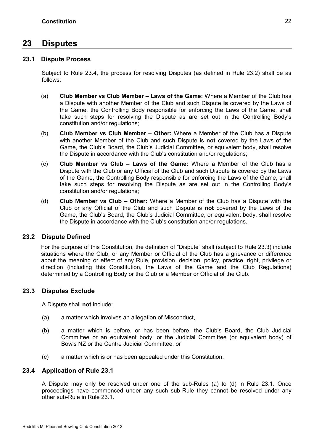## **23 Disputes**

#### **23.1 Dispute Process**

Subject to Rule 23.4, the process for resolving Disputes (as defined in Rule 23.2) shall be as follows:

- (a) **Club Member vs Club Member – Laws of the Game:** Where a Member of the Club has a Dispute with another Member of the Club and such Dispute **is** covered by the Laws of the Game, the Controlling Body responsible for enforcing the Laws of the Game, shall take such steps for resolving the Dispute as are set out in the Controlling Body's constitution and/or regulations;
- (b) **Club Member vs Club Member – Other:** Where a Member of the Club has a Dispute with another Member of the Club and such Dispute is **not** covered by the Laws of the Game, the Club's Board, the Club's Judicial Committee, or equivalent body, shall resolve the Dispute in accordance with the Club's constitution and/or regulations;
- (c) **Club Member vs Club – Laws of the Game:** Where a Member of the Club has a Dispute with the Club or any Official of the Club and such Dispute **is** covered by the Laws of the Game, the Controlling Body responsible for enforcing the Laws of the Game, shall take such steps for resolving the Dispute as are set out in the Controlling Body's constitution and/or regulations;
- (d) **Club Member vs Club – Other:** Where a Member of the Club has a Dispute with the Club or any Official of the Club and such Dispute is **not** covered by the Laws of the Game, the Club's Board, the Club's Judicial Committee, or equivalent body, shall resolve the Dispute in accordance with the Club's constitution and/or regulations.

#### **23.2 Dispute Defined**

For the purpose of this Constitution, the definition of "Dispute" shall (subject to Rule 23.3) include situations where the Club, or any Member or Official of the Club has a grievance or difference about the meaning or effect of any Rule, provision, decision, policy, practice, right, privilege or direction (including this Constitution, the Laws of the Game and the Club Regulations) determined by a Controlling Body or the Club or a Member or Official of the Club.

#### **23.3 Disputes Exclude**

A Dispute shall **not** include:

- (a) a matter which involves an allegation of Misconduct,
- (b) a matter which is before, or has been before, the Club's Board, the Club Judicial Committee or an equivalent body, or the Judicial Committee (or equivalent body) of Bowls NZ or the Centre Judicial Committee, or
- (c) a matter which is or has been appealed under this Constitution.

#### **23.4 Application of Rule 23.1**

A Dispute may only be resolved under one of the sub-Rules (a) to (d) in Rule 23.1. Once proceedings have commenced under any such sub-Rule they cannot be resolved under any other sub-Rule in Rule 23.1.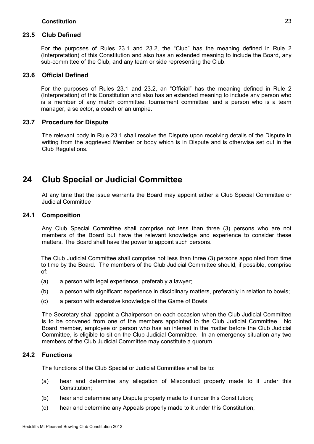#### **23.5 Club Defined**

For the purposes of Rules 23.1 and 23.2, the "Club" has the meaning defined in Rule 2 (Interpretation) of this Constitution and also has an extended meaning to include the Board, any sub-committee of the Club, and any team or side representing the Club.

#### **23.6 Official Defined**

For the purposes of Rules 23.1 and 23.2, an "Official" has the meaning defined in Rule 2 (Interpretation) of this Constitution and also has an extended meaning to include any person who is a member of any match committee, tournament committee, and a person who is a team manager, a selector, a coach or an umpire.

#### **23.7 Procedure for Dispute**

The relevant body in Rule 23.1 shall resolve the Dispute upon receiving details of the Dispute in writing from the aggrieved Member or body which is in Dispute and is otherwise set out in the Club Regulations.

## **24 Club Special or Judicial Committee**

At any time that the issue warrants the Board may appoint either a Club Special Committee or Judicial Committee

#### **24.1 Composition**

Any Club Special Committee shall comprise not less than three (3) persons who are not members of the Board but have the relevant knowledge and experience to consider these matters. The Board shall have the power to appoint such persons.

The Club Judicial Committee shall comprise not less than three (3) persons appointed from time to time by the Board. The members of the Club Judicial Committee should, if possible, comprise of:

- (a) a person with legal experience, preferably a lawyer;
- (b) a person with significant experience in disciplinary matters, preferably in relation to bowls;
- (c) a person with extensive knowledge of the Game of Bowls.

The Secretary shall appoint a Chairperson on each occasion when the Club Judicial Committee is to be convened from one of the members appointed to the Club Judicial Committee. No Board member, employee or person who has an interest in the matter before the Club Judicial Committee, is eligible to sit on the Club Judicial Committee. In an emergency situation any two members of the Club Judicial Committee may constitute a quorum.

#### **24.2 Functions**

The functions of the Club Special or Judicial Committee shall be to:

- (a) hear and determine any allegation of Misconduct properly made to it under this Constitution;
- (b) hear and determine any Dispute properly made to it under this Constitution;
- (c) hear and determine any Appeals properly made to it under this Constitution;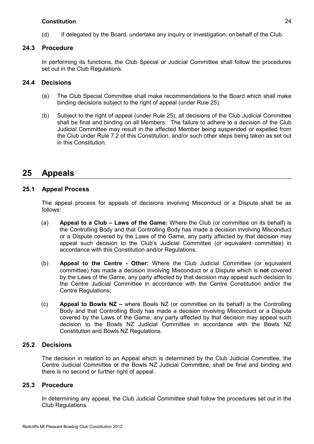(d) if delegated by the Board, undertake any inquiry or investigation, onbehalf of the Club.

#### **24.3 Procedure**

In performing its functions, the Club Special or Judicial Committee shall follow the procedures set out in the Club Regulations.

#### **24.4 Decisions**

- (a) The Club Special Committee shall make recommendations to the Board which shall make binding decisions subject to the right of appeal (under Rule 25).
- (b) Subject to the right of appeal (under Rule 25), all decisions of the Club Judicial Committee shall be final and binding on all Members. The failure to adhere to a decision of the Club Judicial Committee may result in the affected Member being suspended or expelled from the Club under Rule 7.2 of this Constitution, and/or such other steps being taken as set out in this Constitution.

## **25 Appeals**

#### **25.1 Appeal Process**

The appeal process for appeals of decisions involving Misconduct or a Dispute shall be as follows:

- (a) **Appeal to a Club – Laws of the Game:** Where the Club (or committee on its behalf) is the Controlling Body and that Controlling Body has made a decision involving Misconduct or a Dispute covered by the Laws of the Game, any party affected by that decision may appeal such decision to the Club's Judicial Committee (or equivalent committee) in accordance with this Constitution and/or Regulations;
- (b) **Appeal to the Centre - Other:** Where the Club Judicial Committee (or equivalent committee) has made a decision involving Misconduct or a Dispute which is **not** covered by the Laws of the Game, any party affected by that decision may appeal such decision to the Centre Judicial Committee in accordance with the Centre Constitution and/or the Centre Regulations;
- (c) **Appeal to Bowls NZ –** where Bowls NZ (or committee on its behalf) is the Controlling Body and that Controlling Body has made a decision involving Misconduct or a Dispute covered by the Laws of the Game, any party affected by that decision may appeal such decision to the Bowls NZ Judicial Committee in accordance with the Bowls NZ Constitution and Bowls NZ Regulations.

#### **25.2 Decisions**

The decision in relation to an Appeal which is determined by the Club Judicial Committee, the Centre Judicial Committee or the Bowls NZ Judicial Committee, shall be final and binding and there is no second or further right of appeal.

#### **25.3 Procedure**

In determining any appeal, the Club Judicial Committee shall follow the procedures set out in the Club Regulations.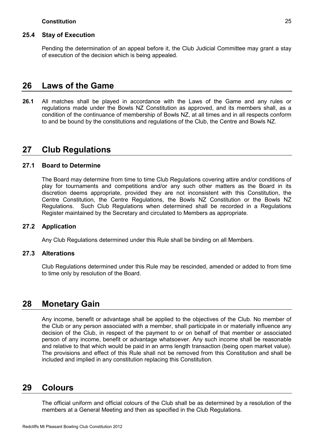#### **25.4 Stay of Execution**

Pending the determination of an appeal before it, the Club Judicial Committee may grant a stay of execution of the decision which is being appealed.

### **26 Laws of the Game**

**26.1** All matches shall be played in accordance with the Laws of the Game and any rules or regulations made under the Bowls NZ Constitution as approved, and its members shall, as a condition of the continuance of membership of Bowls NZ, at all times and in all respects conform to and be bound by the constitutions and regulations of the Club, the Centre and Bowls NZ.

## **27 Club Regulations**

#### **27.1 Board to Determine**

The Board may determine from time to time Club Regulations covering attire and/or conditions of play for tournaments and competitions and/or any such other matters as the Board in its discretion deems appropriate, provided they are not inconsistent with this Constitution, the Centre Constitution, the Centre Regulations, the Bowls NZ Constitution or the Bowls NZ Regulations. Such Club Regulations when determined shall be recorded in a Regulations Register maintained by the Secretary and circulated to Members as appropriate.

#### **27.2 Application**

Any Club Regulations determined under this Rule shall be binding on all Members.

#### **27.3 Alterations**

Club Regulations determined under this Rule may be rescinded, amended or added to from time to time only by resolution of the Board.

## **28 Monetary Gain**

Any income, benefit or advantage shall be applied to the objectives of the Club. No member of the Club or any person associated with a member, shall participate in or materially influence any decision of the Club, in respect of the payment to or on behalf of that member or associated person of any income, benefit or advantage whatsoever. Any such income shall be reasonable and relative to that which would be paid in an arms length transaction (being open market value). The provisions and effect of this Rule shall not be removed from this Constitution and shall be included and implied in any constitution replacing this Constitution.

## **29 Colours**

The official uniform and official colours of the Club shall be as determined by a resolution of the members at a General Meeting and then as specified in the Club Regulations.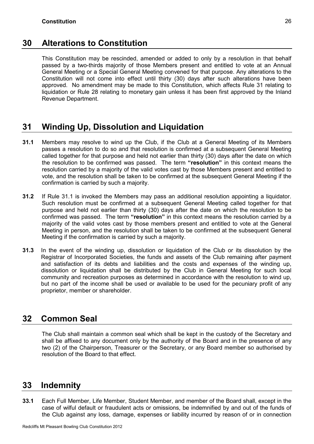# **30 Alterations to Constitution**

This Constitution may be rescinded, amended or added to only by a resolution in that behalf passed by a two-thirds majority of those Members present and entitled to vote at an Annual General Meeting or a Special General Meeting convened for that purpose. Any alterations to the Constitution will not come into effect until thirty (30) days after such alterations have been approved. No amendment may be made to this Constitution, which affects Rule 31 relating to liquidation or Rule 28 relating to monetary gain unless it has been first approved by the Inland Revenue Department.

# **31 Winding Up, Dissolution and Liquidation**

- **31.1** Members may resolve to wind up the Club, if the Club at a General Meeting of its Members passes a resolution to do so and that resolution is confirmed at a subsequent General Meeting called together for that purpose and held not earlier than thirty (30) days after the date on which the resolution to be confirmed was passed. The term **"resolution"** in this context means the resolution carried by a majority of the valid votes cast by those Members present and entitled to vote, and the resolution shall be taken to be confirmed at the subsequent General Meeting if the confirmation is carried by such a majority.
- **31.2** If Rule 31.1 is invoked the Members may pass an additional resolution appointing a liquidator. Such resolution must be confirmed at a subsequent General Meeting called together for that purpose and held not earlier than thirty (30) days after the date on which the resolution to be confirmed was passed. The term **"resolution"** in this context means the resolution carried by a majority of the valid votes cast by those members present and entitled to vote at the General Meeting in person, and the resolution shall be taken to be confirmed at the subsequent General Meeting if the confirmation is carried by such a majority.
- **31.3** In the event of the winding up, dissolution or liquidation of the Club or its dissolution by the Registrar of Incorporated Societies, the funds and assets of the Club remaining after payment and satisfaction of its debts and liabilities and the costs and expenses of the winding up, dissolution or liquidation shall be distributed by the Club in General Meeting for such local community and recreation purposes as determined in accordance with the resolution to wind up, but no part of the income shall be used or available to be used for the pecuniary profit of any proprietor, member or shareholder.

# **32 Common Seal**

The Club shall maintain a common seal which shall be kept in the custody of the Secretary and shall be affixed to any document only by the authority of the Board and in the presence of any two (2) of the Chairperson, Treasurer or the Secretary, or any Board member so authorised by resolution of the Board to that effect.

# **33 Indemnity**

**33.1** Each Full Member, Life Member, Student Member, and member of the Board shall, except in the case of wilful default or fraudulent acts or omissions, be indemnified by and out of the funds of the Club against any loss, damage, expenses or liability incurred by reason of or in connection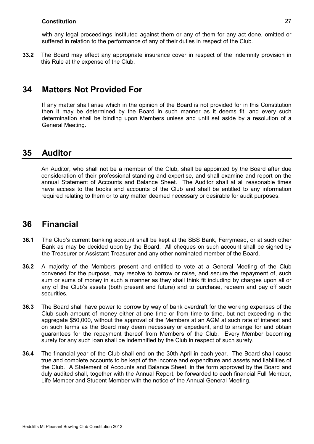with any legal proceedings instituted against them or any of them for any act done, omitted or suffered in relation to the performance of any of their duties in respect of the Club.

**33.2** The Board may effect any appropriate insurance cover in respect of the indemnity provision in this Rule at the expense of the Club.

## **34 Matters Not Provided For**

If any matter shall arise which in the opinion of the Board is not provided for in this Constitution then it may be determined by the Board in such manner as it deems fit, and every such determination shall be binding upon Members unless and until set aside by a resolution of a General Meeting.

## **35 Auditor**

An Auditor, who shall not be a member of the Club, shall be appointed by the Board after due consideration of their professional standing and expertise, and shall examine and report on the annual Statement of Accounts and Balance Sheet. The Auditor shall at all reasonable times have access to the books and accounts of the Club and shall be entitled to any information required relating to them or to any matter deemed necessary or desirable for audit purposes.

## **36 Financial**

- **36.1** The Club's current banking account shall be kept at the SBS Bank, Ferrymead, or at such other Bank as may be decided upon by the Board. All cheques on such account shall be signed by the Treasurer or Assistant Treasurer and any other nominated member of the Board.
- **36.2** A majority of the Members present and entitled to vote at a General Meeting of the Club convened for the purpose, may resolve to borrow or raise, and secure the repayment of, such sum or sums of money in such a manner as they shall think fit including by charges upon all or any of the Club's assets (both present and future) and to purchase, redeem and pay off such securities.
- **36.3** The Board shall have power to borrow by way of bank overdraft for the working expenses of the Club such amount of money either at one time or from time to time, but not exceeding in the aggregate \$50,000, without the approval of the Members at an AGM at such rate of interest and on such terms as the Board may deem necessary or expedient, and to arrange for and obtain guarantees for the repayment thereof from Members of the Club. Every Member becoming surety for any such loan shall be indemnified by the Club in respect of such surety.
- **36.4** The financial year of the Club shall end on the 30th April in each year. The Board shall cause true and complete accounts to be kept of the income and expenditure and assets and liabilities of the Club. A Statement of Accounts and Balance Sheet, in the form approved by the Board and duly audited shall, together with the Annual Report, be forwarded to each financial Full Member, Life Member and Student Member with the notice of the Annual General Meeting.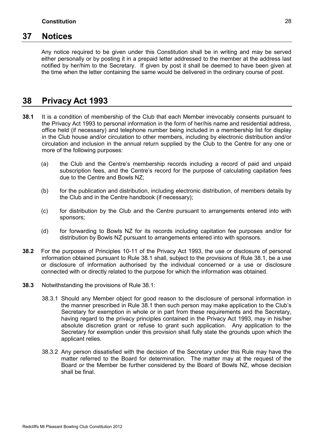## **37 Notices**

Any notice required to be given under this Constitution shall be in writing and may be served either personally or by posting it in a prepaid letter addressed to the member at the address last notified by her/him to the Secretary. If given by post it shall be deemed to have been given at the time when the letter containing the same would be delivered in the ordinary course of post.

## **38 Privacy Act 1993**

- **38.1** It is a condition of membership of the Club that each Member irrevocably consents pursuant to the Privacy Act 1993 to personal information in the form of her/his name and residential address, office held (if necessary) and telephone number being included in a membership list for display in the Club house and/or circulation to other members, including by electronic distribution and/or circulation and inclusion in the annual return supplied by the Club to the Centre for any one or more of the following purposes:
	- (a) the Club and the Centre's membership records including a record of paid and unpaid subscription fees, and the Centre's record for the purpose of calculating capitation fees due to the Centre and Bowls NZ;
	- (b) for the publication and distribution, including electronic distribution, of members details by the Club and in the Centre handbook (if necessary);
	- (c) for distribution by the Club and the Centre pursuant to arrangements entered into with sponsors;
	- (d) for forwarding to Bowls NZ for its records including capitation fee purposes and/or for distribution by Bowls NZ pursuant to arrangements entered into with sponsors.
- **38.2** For the purposes of Principles 10-11 of the Privacy Act 1993, the use or disclosure of personal information obtained pursuant to Rule 38.1 shall, subject to the provisions of Rule 38.1, be a use or disclosure of information authorised by the individual concerned or a use or disclosure connected with or directly related to the purpose for which the information was obtained.
- **38.3** Notwithstanding the provisions of Rule 38.1:
	- 38.3.1 Should any Member object for good reason to the disclosure of personal information in the manner prescribed in Rule 38.1 then such person may make application to the Club's Secretary for exemption in whole or in part from these requirements and the Secretary, having regard to the privacy principles contained in the Privacy Act 1993, may in his/her absolute discretion grant or refuse to grant such application. Any application to the Secretary for exemption under this provision shall fully state the grounds upon which the applicant relies.
	- 38.3.2 Any person dissatisfied with the decision of the Secretary under this Rule may have the matter referred to the Board for determination. The matter may at the request of the Board or the Member be further considered by the Board of Bowls NZ, whose decision shall be final.